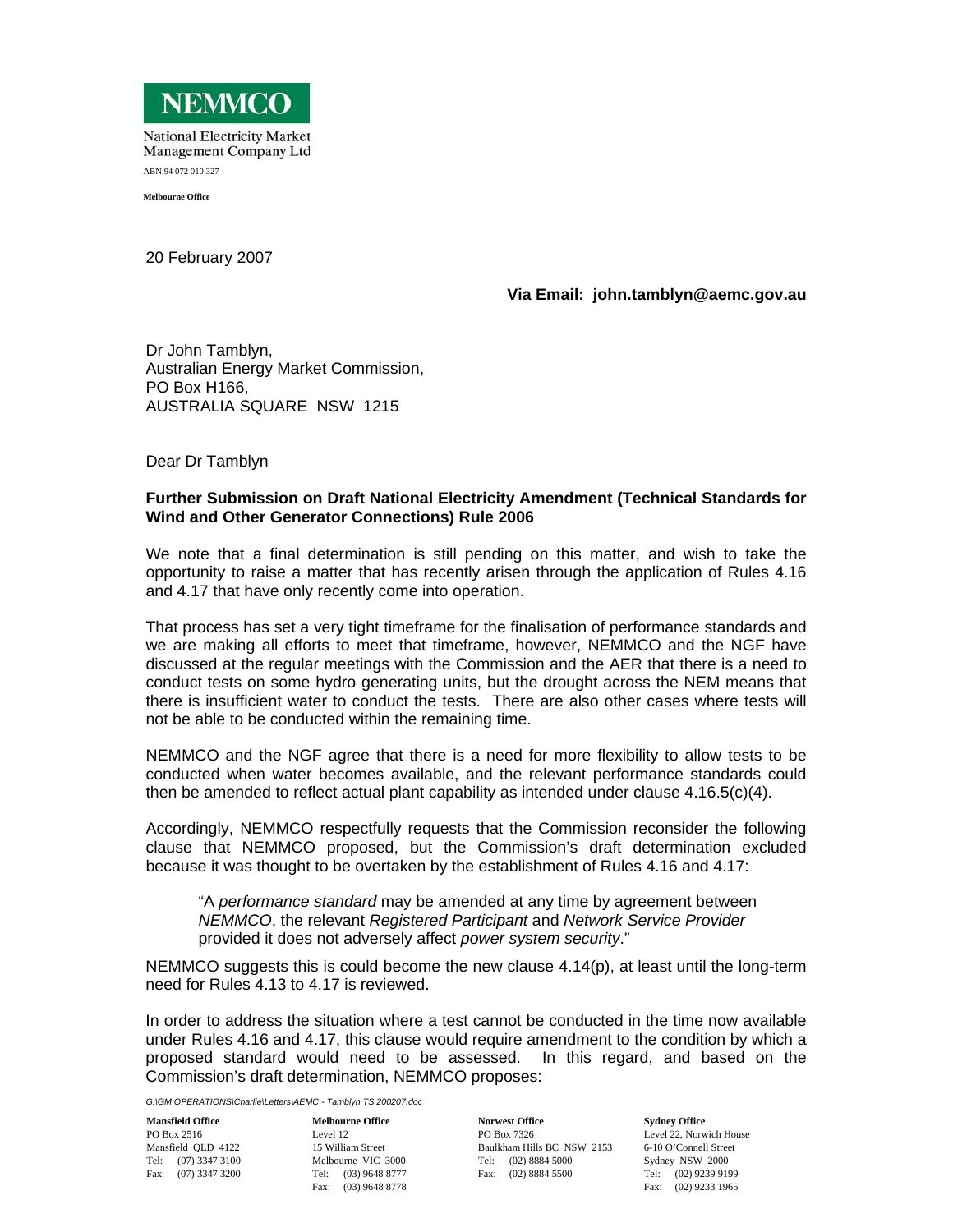

**National Electricity Market** Management Company Ltd ABN 94 072 010 327

**Melbourne Office** 

20 February 2007

## **Via Email: john.tamblyn@aemc.gov.au**

Dr John Tamblyn, Australian Energy Market Commission, PO Box H166, AUSTRALIA SQUARE NSW 1215

Dear Dr Tamblyn

## **Further Submission on Draft National Electricity Amendment (Technical Standards for Wind and Other Generator Connections) Rule 2006**

We note that a final determination is still pending on this matter, and wish to take the opportunity to raise a matter that has recently arisen through the application of Rules 4.16 and 4.17 that have only recently come into operation.

That process has set a very tight timeframe for the finalisation of performance standards and we are making all efforts to meet that timeframe, however, NEMMCO and the NGF have discussed at the regular meetings with the Commission and the AER that there is a need to conduct tests on some hydro generating units, but the drought across the NEM means that there is insufficient water to conduct the tests. There are also other cases where tests will not be able to be conducted within the remaining time.

NEMMCO and the NGF agree that there is a need for more flexibility to allow tests to be conducted when water becomes available, and the relevant performance standards could then be amended to reflect actual plant capability as intended under clause  $4.16.5(c)(4)$ .

Accordingly, NEMMCO respectfully requests that the Commission reconsider the following clause that NEMMCO proposed, but the Commission's draft determination excluded because it was thought to be overtaken by the establishment of Rules 4.16 and 4.17:

"A *performance standard* may be amended at any time by agreement between *NEMMCO*, the relevant *Registered Participant* and *Network Service Provider* provided it does not adversely affect *power system security*."

NEMMCO suggests this is could become the new clause 4.14(p), at least until the long-term need for Rules 4.13 to 4.17 is reviewed.

In order to address the situation where a test cannot be conducted in the time now available under Rules 4.16 and 4.17, this clause would require amendment to the condition by which a proposed standard would need to be assessed. In this regard, and based on the Commission's draft determination, NEMMCO proposes:

*G:\GM OPERATIONS\Charlie\Letters\AEMC - Tamblyn TS 200207.doc*

**Mansfield Office**  PO Box 2516 Mansfield QLD 4122 Tel: (07) 3347 3100 Fax: (07) 3347 3200

**Melbourne Office**  Level 12 15 William Street Melbourne VIC 3000 Tel: (03) 9648 8777 Fax: (03) 9648 8778

**Norwest Office**  PO Box 7326 Baulkham Hills BC NSW 2153 Tel: (02) 8884 5000 Fax: (02) 8884 5500

**Sydney Office**  Level 22, Norwich House 6-10 O'Connell Street Sydney NSW 2000 Tel: (02) 9239 9199 Fax: (02) 9233 1965